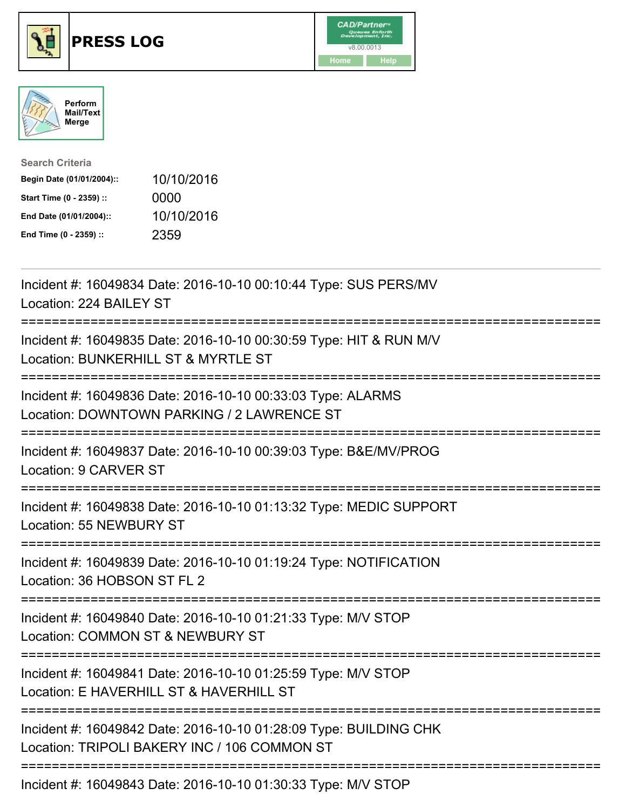





| <b>Search Criteria</b>    |            |
|---------------------------|------------|
| Begin Date (01/01/2004):: | 10/10/2016 |
| Start Time (0 - 2359) ::  | 0000       |
| End Date (01/01/2004)::   | 10/10/2016 |
| End Time (0 - 2359) ::    | 2359       |

| Incident #: 16049834 Date: 2016-10-10 00:10:44 Type: SUS PERS/MV<br>Location: 224 BAILEY ST                                             |
|-----------------------------------------------------------------------------------------------------------------------------------------|
| Incident #: 16049835 Date: 2016-10-10 00:30:59 Type: HIT & RUN M/V<br>Location: BUNKERHILL ST & MYRTLE ST                               |
| Incident #: 16049836 Date: 2016-10-10 00:33:03 Type: ALARMS<br>Location: DOWNTOWN PARKING / 2 LAWRENCE ST                               |
| Incident #: 16049837 Date: 2016-10-10 00:39:03 Type: B&E/MV/PROG<br>Location: 9 CARVER ST<br>-------------------                        |
| Incident #: 16049838 Date: 2016-10-10 01:13:32 Type: MEDIC SUPPORT<br>Location: 55 NEWBURY ST<br>-------------------------------------- |
| Incident #: 16049839 Date: 2016-10-10 01:19:24 Type: NOTIFICATION<br>Location: 36 HOBSON ST FL 2                                        |
| Incident #: 16049840 Date: 2016-10-10 01:21:33 Type: M/V STOP<br>Location: COMMON ST & NEWBURY ST                                       |
| Incident #: 16049841 Date: 2016-10-10 01:25:59 Type: M/V STOP<br>Location: E HAVERHILL ST & HAVERHILL ST                                |
| Incident #: 16049842 Date: 2016-10-10 01:28:09 Type: BUILDING CHK<br>Location: TRIPOLI BAKERY INC / 106 COMMON ST                       |
| Incident #: 16049843 Date: 2016-10-10 01:30:33 Type: M/V STOP                                                                           |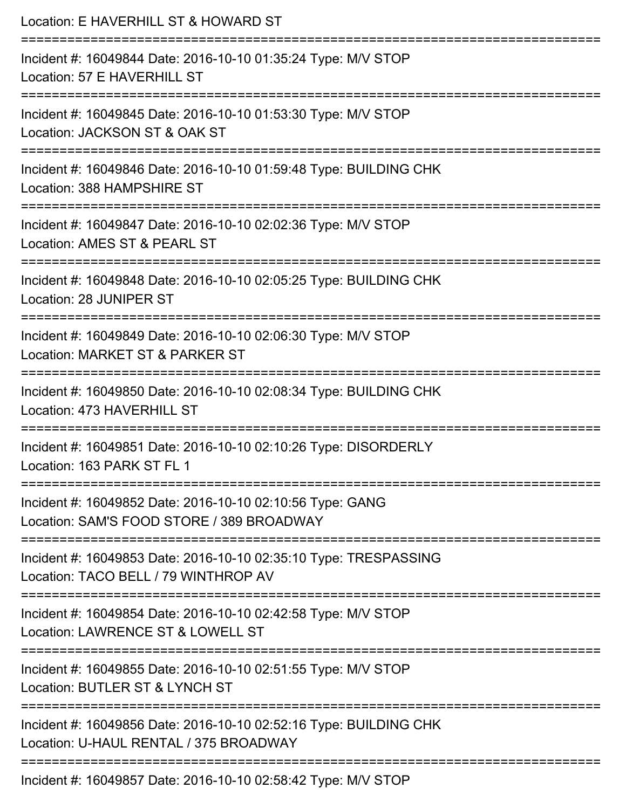| Location: E HAVERHILL ST & HOWARD ST<br>------------------------                                                              |
|-------------------------------------------------------------------------------------------------------------------------------|
| Incident #: 16049844 Date: 2016-10-10 01:35:24 Type: M/V STOP<br>Location: 57 E HAVERHILL ST                                  |
| Incident #: 16049845 Date: 2016-10-10 01:53:30 Type: M/V STOP<br>Location: JACKSON ST & OAK ST                                |
| Incident #: 16049846 Date: 2016-10-10 01:59:48 Type: BUILDING CHK<br>Location: 388 HAMPSHIRE ST                               |
| Incident #: 16049847 Date: 2016-10-10 02:02:36 Type: M/V STOP<br>Location: AMES ST & PEARL ST                                 |
| Incident #: 16049848 Date: 2016-10-10 02:05:25 Type: BUILDING CHK<br>Location: 28 JUNIPER ST                                  |
| Incident #: 16049849 Date: 2016-10-10 02:06:30 Type: M/V STOP<br>Location: MARKET ST & PARKER ST                              |
| Incident #: 16049850 Date: 2016-10-10 02:08:34 Type: BUILDING CHK<br>Location: 473 HAVERHILL ST<br>-------------------------- |
| Incident #: 16049851 Date: 2016-10-10 02:10:26 Type: DISORDERLY<br>Location: 163 PARK ST FL 1                                 |
| Incident #: 16049852 Date: 2016-10-10 02:10:56 Type: GANG<br>Location: SAM'S FOOD STORE / 389 BROADWAY                        |
| Incident #: 16049853 Date: 2016-10-10 02:35:10 Type: TRESPASSING<br>Location: TACO BELL / 79 WINTHROP AV                      |
| Incident #: 16049854 Date: 2016-10-10 02:42:58 Type: M/V STOP<br>Location: LAWRENCE ST & LOWELL ST                            |
| Incident #: 16049855 Date: 2016-10-10 02:51:55 Type: M/V STOP<br>Location: BUTLER ST & LYNCH ST                               |
| Incident #: 16049856 Date: 2016-10-10 02:52:16 Type: BUILDING CHK<br>Location: U-HAUL RENTAL / 375 BROADWAY                   |
| Incident #: 16049857 Date: 2016-10-10 02:58:42 Type: M/V STOP                                                                 |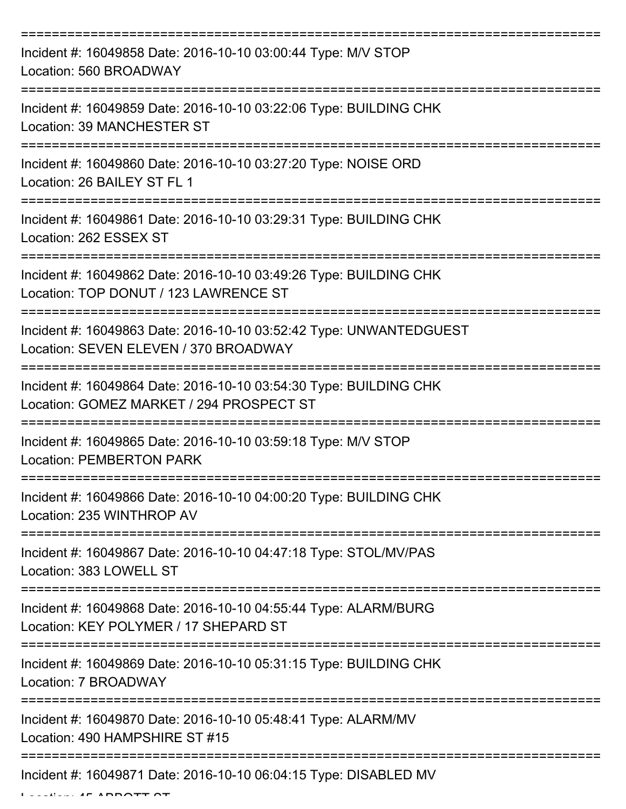| Incident #: 16049858 Date: 2016-10-10 03:00:44 Type: M/V STOP<br>Location: 560 BROADWAY                              |
|----------------------------------------------------------------------------------------------------------------------|
| Incident #: 16049859 Date: 2016-10-10 03:22:06 Type: BUILDING CHK<br><b>Location: 39 MANCHESTER ST</b>               |
| Incident #: 16049860 Date: 2016-10-10 03:27:20 Type: NOISE ORD<br>Location: 26 BAILEY ST FL 1                        |
| Incident #: 16049861 Date: 2016-10-10 03:29:31 Type: BUILDING CHK<br>Location: 262 ESSEX ST                          |
| Incident #: 16049862 Date: 2016-10-10 03:49:26 Type: BUILDING CHK<br>Location: TOP DONUT / 123 LAWRENCE ST           |
| Incident #: 16049863 Date: 2016-10-10 03:52:42 Type: UNWANTEDGUEST<br>Location: SEVEN ELEVEN / 370 BROADWAY          |
| Incident #: 16049864 Date: 2016-10-10 03:54:30 Type: BUILDING CHK<br>Location: GOMEZ MARKET / 294 PROSPECT ST        |
| Incident #: 16049865 Date: 2016-10-10 03:59:18 Type: M/V STOP<br><b>Location: PEMBERTON PARK</b>                     |
| Incident #: 16049866 Date: 2016-10-10 04:00:20 Type: BUILDING CHK<br>Location: 235 WINTHROP AV                       |
| Incident #: 16049867 Date: 2016-10-10 04:47:18 Type: STOL/MV/PAS<br>Location: 383 LOWELL ST<br>===================== |
| Incident #: 16049868 Date: 2016-10-10 04:55:44 Type: ALARM/BURG<br>Location: KEY POLYMER / 17 SHEPARD ST             |
| Incident #: 16049869 Date: 2016-10-10 05:31:15 Type: BUILDING CHK<br>Location: 7 BROADWAY                            |
| Incident #: 16049870 Date: 2016-10-10 05:48:41 Type: ALARM/MV<br>Location: 490 HAMPSHIRE ST #15                      |
| Incident #: 16049871 Date: 2016-10-10 06:04:15 Type: DISABLED MV                                                     |

 $\ldots$  .  $\vdots$   $\vdots$   $\vdots$   $\vdots$   $\vdots$   $\vdots$   $\vdots$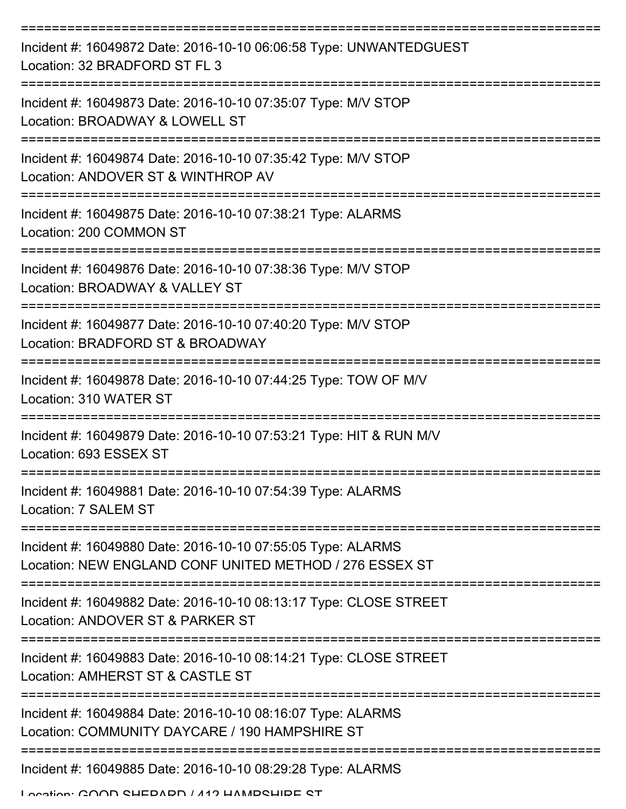| Incident #: 16049872 Date: 2016-10-10 06:06:58 Type: UNWANTEDGUEST<br>Location: 32 BRADFORD ST FL 3                    |
|------------------------------------------------------------------------------------------------------------------------|
| Incident #: 16049873 Date: 2016-10-10 07:35:07 Type: M/V STOP<br>Location: BROADWAY & LOWELL ST                        |
| Incident #: 16049874 Date: 2016-10-10 07:35:42 Type: M/V STOP<br>Location: ANDOVER ST & WINTHROP AV                    |
| Incident #: 16049875 Date: 2016-10-10 07:38:21 Type: ALARMS<br>Location: 200 COMMON ST                                 |
| Incident #: 16049876 Date: 2016-10-10 07:38:36 Type: M/V STOP<br>Location: BROADWAY & VALLEY ST                        |
| Incident #: 16049877 Date: 2016-10-10 07:40:20 Type: M/V STOP<br>Location: BRADFORD ST & BROADWAY                      |
| Incident #: 16049878 Date: 2016-10-10 07:44:25 Type: TOW OF M/V<br>Location: 310 WATER ST                              |
| Incident #: 16049879 Date: 2016-10-10 07:53:21 Type: HIT & RUN M/V<br>Location: 693 ESSEX ST                           |
| Incident #: 16049881 Date: 2016-10-10 07:54:39 Type: ALARMS<br>Location: 7 SALEM ST                                    |
| Incident #: 16049880 Date: 2016-10-10 07:55:05 Type: ALARMS<br>Location: NEW ENGLAND CONF UNITED METHOD / 276 ESSEX ST |
| Incident #: 16049882 Date: 2016-10-10 08:13:17 Type: CLOSE STREET<br>Location: ANDOVER ST & PARKER ST                  |
| Incident #: 16049883 Date: 2016-10-10 08:14:21 Type: CLOSE STREET<br>Location: AMHERST ST & CASTLE ST                  |
| Incident #: 16049884 Date: 2016-10-10 08:16:07 Type: ALARMS<br>Location: COMMUNITY DAYCARE / 190 HAMPSHIRE ST          |
| Incident #: 16049885 Date: 2016-10-10 08:29:28 Type: ALARMS                                                            |

Location: COOD SHEDADD / 412 HAMPSHIDE ST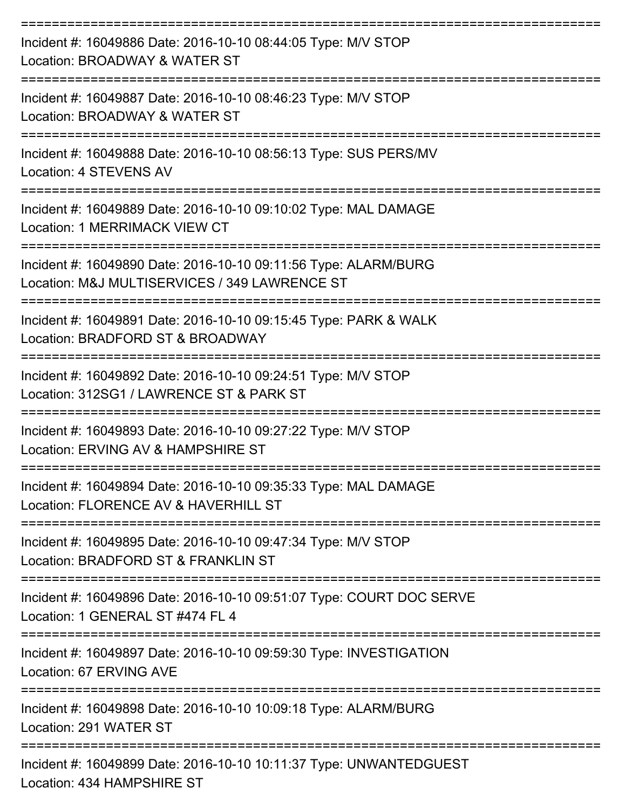| Incident #: 16049886 Date: 2016-10-10 08:44:05 Type: M/V STOP<br>Location: BROADWAY & WATER ST                                                  |
|-------------------------------------------------------------------------------------------------------------------------------------------------|
| Incident #: 16049887 Date: 2016-10-10 08:46:23 Type: M/V STOP<br>Location: BROADWAY & WATER ST                                                  |
| Incident #: 16049888 Date: 2016-10-10 08:56:13 Type: SUS PERS/MV<br>Location: 4 STEVENS AV                                                      |
| Incident #: 16049889 Date: 2016-10-10 09:10:02 Type: MAL DAMAGE<br>Location: 1 MERRIMACK VIEW CT                                                |
| Incident #: 16049890 Date: 2016-10-10 09:11:56 Type: ALARM/BURG<br>Location: M&J MULTISERVICES / 349 LAWRENCE ST<br>=========================== |
| Incident #: 16049891 Date: 2016-10-10 09:15:45 Type: PARK & WALK<br>Location: BRADFORD ST & BROADWAY                                            |
| Incident #: 16049892 Date: 2016-10-10 09:24:51 Type: M/V STOP<br>Location: 312SG1 / LAWRENCE ST & PARK ST                                       |
| Incident #: 16049893 Date: 2016-10-10 09:27:22 Type: M/V STOP<br>Location: ERVING AV & HAMPSHIRE ST                                             |
| Incident #: 16049894 Date: 2016-10-10 09:35:33 Type: MAL DAMAGE<br>Location: FLORENCE AV & HAVERHILL ST                                         |
| Incident #: 16049895 Date: 2016-10-10 09:47:34 Type: M/V STOP<br>Location: BRADFORD ST & FRANKLIN ST                                            |
| Incident #: 16049896 Date: 2016-10-10 09:51:07 Type: COURT DOC SERVE<br>Location: 1 GENERAL ST #474 FL 4                                        |
| Incident #: 16049897 Date: 2016-10-10 09:59:30 Type: INVESTIGATION<br>Location: 67 ERVING AVE                                                   |
| Incident #: 16049898 Date: 2016-10-10 10:09:18 Type: ALARM/BURG<br>Location: 291 WATER ST                                                       |
| Incident #: 16049899 Date: 2016-10-10 10:11:37 Type: UNWANTEDGUEST<br>Location: 434 HAMPSHIRE ST                                                |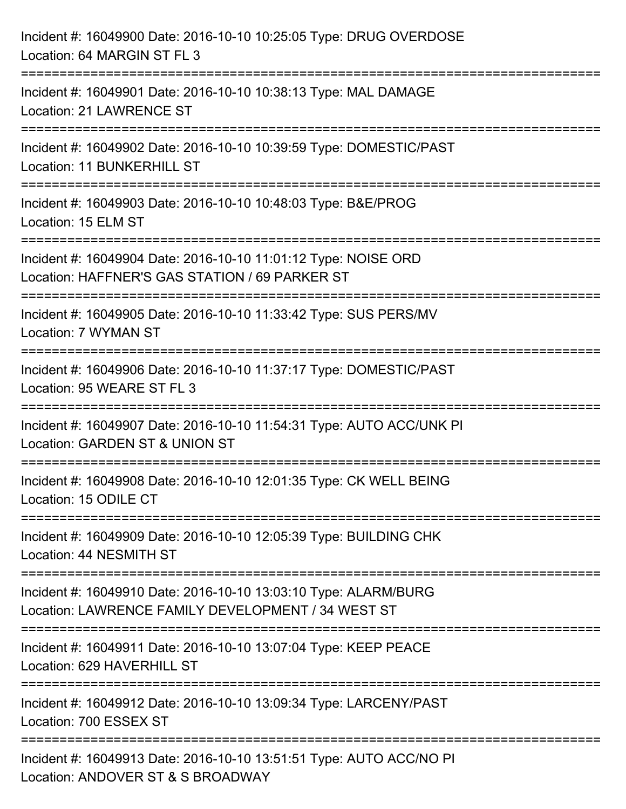| Incident #: 16049900 Date: 2016-10-10 10:25:05 Type: DRUG OVERDOSE<br>Location: 64 MARGIN ST FL 3                     |
|-----------------------------------------------------------------------------------------------------------------------|
| Incident #: 16049901 Date: 2016-10-10 10:38:13 Type: MAL DAMAGE<br>Location: 21 LAWRENCE ST                           |
| Incident #: 16049902 Date: 2016-10-10 10:39:59 Type: DOMESTIC/PAST<br>Location: 11 BUNKERHILL ST                      |
| Incident #: 16049903 Date: 2016-10-10 10:48:03 Type: B&E/PROG<br>Location: 15 ELM ST                                  |
| Incident #: 16049904 Date: 2016-10-10 11:01:12 Type: NOISE ORD<br>Location: HAFFNER'S GAS STATION / 69 PARKER ST      |
| Incident #: 16049905 Date: 2016-10-10 11:33:42 Type: SUS PERS/MV<br>Location: 7 WYMAN ST                              |
| Incident #: 16049906 Date: 2016-10-10 11:37:17 Type: DOMESTIC/PAST<br>Location: 95 WEARE ST FL 3                      |
| Incident #: 16049907 Date: 2016-10-10 11:54:31 Type: AUTO ACC/UNK PI<br>Location: GARDEN ST & UNION ST                |
| Incident #: 16049908 Date: 2016-10-10 12:01:35 Type: CK WELL BEING<br>Location: 15 ODILE CT                           |
| Incident #: 16049909 Date: 2016-10-10 12:05:39 Type: BUILDING CHK<br>Location: 44 NESMITH ST                          |
| Incident #: 16049910 Date: 2016-10-10 13:03:10 Type: ALARM/BURG<br>Location: LAWRENCE FAMILY DEVELOPMENT / 34 WEST ST |
| Incident #: 16049911 Date: 2016-10-10 13:07:04 Type: KEEP PEACE<br>Location: 629 HAVERHILL ST                         |
| Incident #: 16049912 Date: 2016-10-10 13:09:34 Type: LARCENY/PAST<br>Location: 700 ESSEX ST                           |
| Incident #: 16049913 Date: 2016-10-10 13:51:51 Type: AUTO ACC/NO PI<br>Location: ANDOVER ST & S BROADWAY              |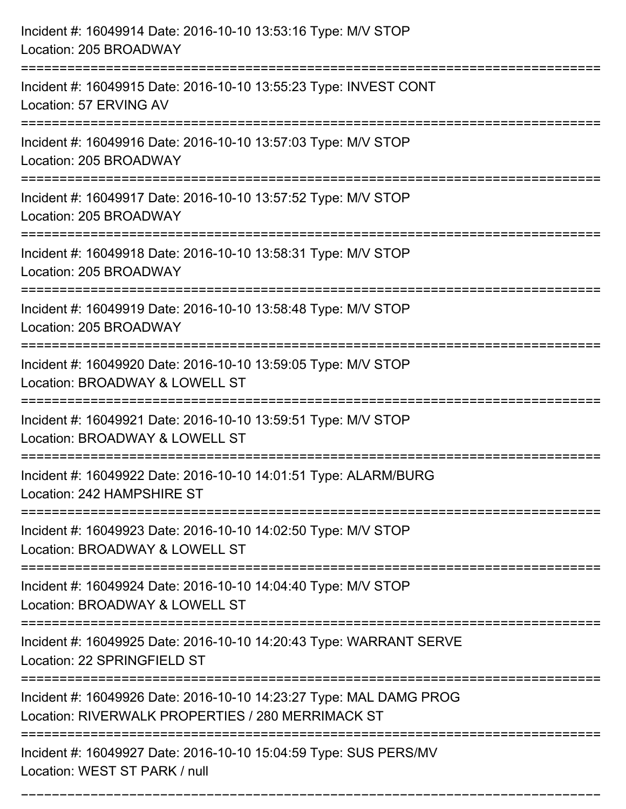| Incident #: 16049914 Date: 2016-10-10 13:53:16 Type: M/V STOP<br>Location: 205 BROADWAY                                 |
|-------------------------------------------------------------------------------------------------------------------------|
| Incident #: 16049915 Date: 2016-10-10 13:55:23 Type: INVEST CONT<br>Location: 57 ERVING AV                              |
| Incident #: 16049916 Date: 2016-10-10 13:57:03 Type: M/V STOP<br>Location: 205 BROADWAY                                 |
| Incident #: 16049917 Date: 2016-10-10 13:57:52 Type: M/V STOP<br>Location: 205 BROADWAY                                 |
| Incident #: 16049918 Date: 2016-10-10 13:58:31 Type: M/V STOP<br>Location: 205 BROADWAY                                 |
| Incident #: 16049919 Date: 2016-10-10 13:58:48 Type: M/V STOP<br>Location: 205 BROADWAY                                 |
| Incident #: 16049920 Date: 2016-10-10 13:59:05 Type: M/V STOP<br>Location: BROADWAY & LOWELL ST                         |
| Incident #: 16049921 Date: 2016-10-10 13:59:51 Type: M/V STOP<br>Location: BROADWAY & LOWELL ST                         |
| Incident #: 16049922 Date: 2016-10-10 14:01:51 Type: ALARM/BURG<br>Location: 242 HAMPSHIRE ST                           |
| Incident #: 16049923 Date: 2016-10-10 14:02:50 Type: M/V STOP<br>Location: BROADWAY & LOWELL ST                         |
| Incident #: 16049924 Date: 2016-10-10 14:04:40 Type: M/V STOP<br>Location: BROADWAY & LOWELL ST                         |
| Incident #: 16049925 Date: 2016-10-10 14:20:43 Type: WARRANT SERVE<br>Location: 22 SPRINGFIELD ST                       |
| Incident #: 16049926 Date: 2016-10-10 14:23:27 Type: MAL DAMG PROG<br>Location: RIVERWALK PROPERTIES / 280 MERRIMACK ST |
| Incident #: 16049927 Date: 2016-10-10 15:04:59 Type: SUS PERS/MV<br>Location: WEST ST PARK / null                       |

===========================================================================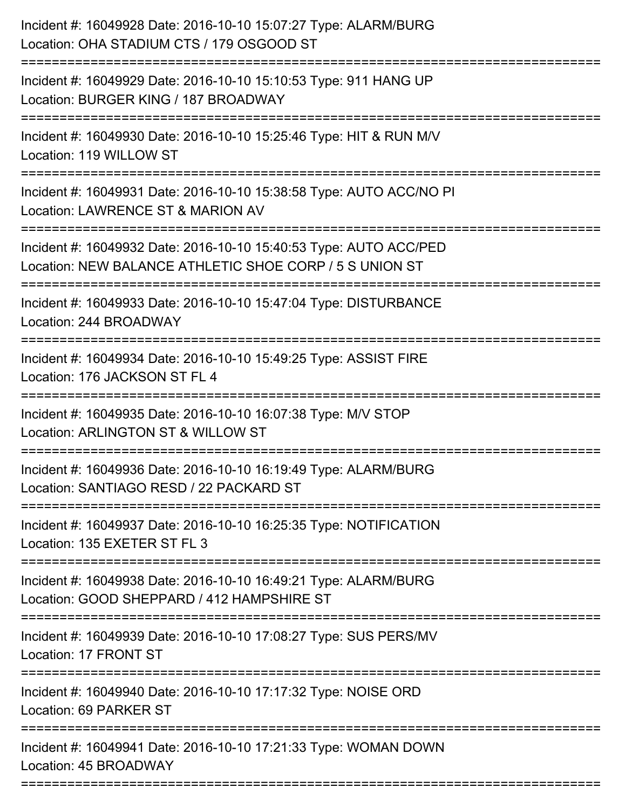| Incident #: 16049928 Date: 2016-10-10 15:07:27 Type: ALARM/BURG<br>Location: OHA STADIUM CTS / 179 OSGOOD ST                 |
|------------------------------------------------------------------------------------------------------------------------------|
| Incident #: 16049929 Date: 2016-10-10 15:10:53 Type: 911 HANG UP<br>Location: BURGER KING / 187 BROADWAY                     |
| Incident #: 16049930 Date: 2016-10-10 15:25:46 Type: HIT & RUN M/V<br>Location: 119 WILLOW ST                                |
| Incident #: 16049931 Date: 2016-10-10 15:38:58 Type: AUTO ACC/NO PI<br>Location: LAWRENCE ST & MARION AV                     |
| Incident #: 16049932 Date: 2016-10-10 15:40:53 Type: AUTO ACC/PED<br>Location: NEW BALANCE ATHLETIC SHOE CORP / 5 S UNION ST |
| Incident #: 16049933 Date: 2016-10-10 15:47:04 Type: DISTURBANCE<br>Location: 244 BROADWAY                                   |
| Incident #: 16049934 Date: 2016-10-10 15:49:25 Type: ASSIST FIRE<br>Location: 176 JACKSON ST FL 4                            |
| Incident #: 16049935 Date: 2016-10-10 16:07:38 Type: M/V STOP<br>Location: ARLINGTON ST & WILLOW ST                          |
| Incident #: 16049936 Date: 2016-10-10 16:19:49 Type: ALARM/BURG<br>Location: SANTIAGO RESD / 22 PACKARD ST                   |
| Incident #: 16049937 Date: 2016-10-10 16:25:35 Type: NOTIFICATION<br>Location: 135 EXETER ST FL 3                            |
| Incident #: 16049938 Date: 2016-10-10 16:49:21 Type: ALARM/BURG<br>Location: GOOD SHEPPARD / 412 HAMPSHIRE ST                |
| Incident #: 16049939 Date: 2016-10-10 17:08:27 Type: SUS PERS/MV<br>Location: 17 FRONT ST                                    |
| Incident #: 16049940 Date: 2016-10-10 17:17:32 Type: NOISE ORD<br>Location: 69 PARKER ST                                     |
| Incident #: 16049941 Date: 2016-10-10 17:21:33 Type: WOMAN DOWN<br>Location: 45 BROADWAY                                     |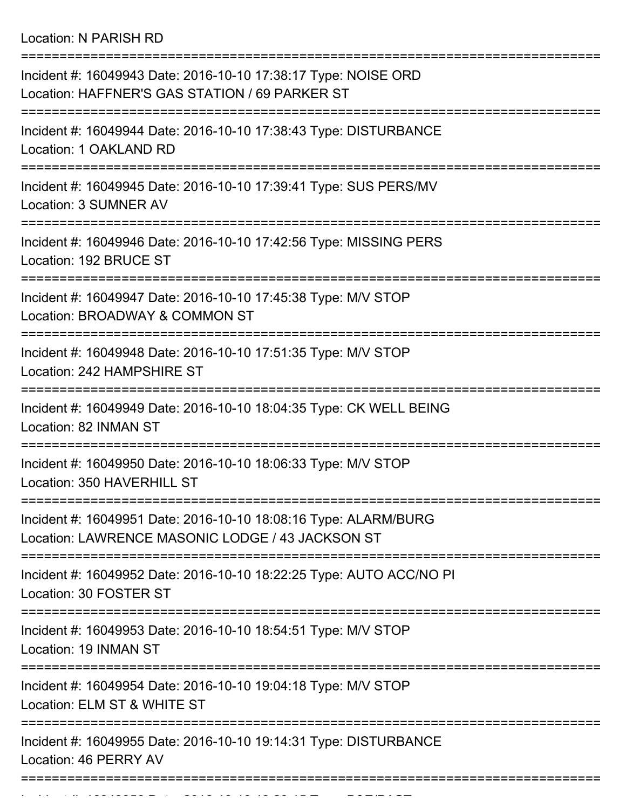Location: N PARISH RD

| Incident #: 16049943 Date: 2016-10-10 17:38:17 Type: NOISE ORD<br>Location: HAFFNER'S GAS STATION / 69 PARKER ST     |
|----------------------------------------------------------------------------------------------------------------------|
| Incident #: 16049944 Date: 2016-10-10 17:38:43 Type: DISTURBANCE<br>Location: 1 OAKLAND RD                           |
| Incident #: 16049945 Date: 2016-10-10 17:39:41 Type: SUS PERS/MV<br>Location: 3 SUMNER AV                            |
| Incident #: 16049946 Date: 2016-10-10 17:42:56 Type: MISSING PERS<br>Location: 192 BRUCE ST                          |
| =================<br>Incident #: 16049947 Date: 2016-10-10 17:45:38 Type: M/V STOP<br>Location: BROADWAY & COMMON ST |
| Incident #: 16049948 Date: 2016-10-10 17:51:35 Type: M/V STOP<br>Location: 242 HAMPSHIRE ST                          |
| Incident #: 16049949 Date: 2016-10-10 18:04:35 Type: CK WELL BEING<br>Location: 82 INMAN ST                          |
| Incident #: 16049950 Date: 2016-10-10 18:06:33 Type: M/V STOP<br>Location: 350 HAVERHILL ST                          |
| Incident #: 16049951 Date: 2016-10-10 18:08:16 Type: ALARM/BURG<br>Location: LAWRENCE MASONIC LODGE / 43 JACKSON ST  |
| Incident #: 16049952 Date: 2016-10-10 18:22:25 Type: AUTO ACC/NO PI<br>Location: 30 FOSTER ST                        |
| Incident #: 16049953 Date: 2016-10-10 18:54:51 Type: M/V STOP<br>Location: 19 INMAN ST                               |
| Incident #: 16049954 Date: 2016-10-10 19:04:18 Type: M/V STOP<br>Location: ELM ST & WHITE ST                         |
| Incident #: 16049955 Date: 2016-10-10 19:14:31 Type: DISTURBANCE<br>Location: 46 PERRY AV                            |
|                                                                                                                      |

Incident #: 16049956 Date: 2016 10 10 19:20:15 Type: B&E/PAST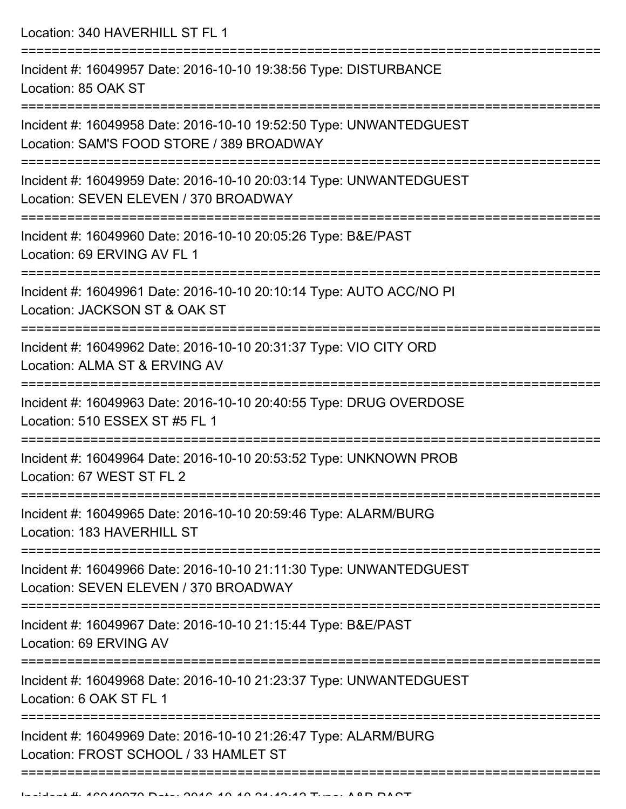Location: 340 HAVERHILL ST FL 1

| Incident #: 16049957 Date: 2016-10-10 19:38:56 Type: DISTURBANCE<br>Location: 85 OAK ST                         |
|-----------------------------------------------------------------------------------------------------------------|
| Incident #: 16049958 Date: 2016-10-10 19:52:50 Type: UNWANTEDGUEST<br>Location: SAM'S FOOD STORE / 389 BROADWAY |
| Incident #: 16049959 Date: 2016-10-10 20:03:14 Type: UNWANTEDGUEST<br>Location: SEVEN ELEVEN / 370 BROADWAY     |
| Incident #: 16049960 Date: 2016-10-10 20:05:26 Type: B&E/PAST<br>Location: 69 ERVING AV FL 1                    |
| Incident #: 16049961 Date: 2016-10-10 20:10:14 Type: AUTO ACC/NO PI<br>Location: JACKSON ST & OAK ST            |
| Incident #: 16049962 Date: 2016-10-10 20:31:37 Type: VIO CITY ORD<br>Location: ALMA ST & ERVING AV              |
| Incident #: 16049963 Date: 2016-10-10 20:40:55 Type: DRUG OVERDOSE<br>Location: 510 ESSEX ST #5 FL 1            |
| Incident #: 16049964 Date: 2016-10-10 20:53:52 Type: UNKNOWN PROB<br>Location: 67 WEST ST FL 2                  |
| Incident #: 16049965 Date: 2016-10-10 20:59:46 Type: ALARM/BURG<br>Location: 183 HAVERHILL ST                   |
| Incident #: 16049966 Date: 2016-10-10 21:11:30 Type: UNWANTEDGUEST<br>Location: SEVEN ELEVEN / 370 BROADWAY     |
| Incident #: 16049967 Date: 2016-10-10 21:15:44 Type: B&E/PAST<br>Location: 69 ERVING AV                         |
| Incident #: 16049968 Date: 2016-10-10 21:23:37 Type: UNWANTEDGUEST<br>Location: 6 OAK ST FL 1                   |
| Incident #: 16049969 Date: 2016-10-10 21:26:47 Type: ALARM/BURG<br>Location: FROST SCHOOL / 33 HAMLET ST        |
|                                                                                                                 |